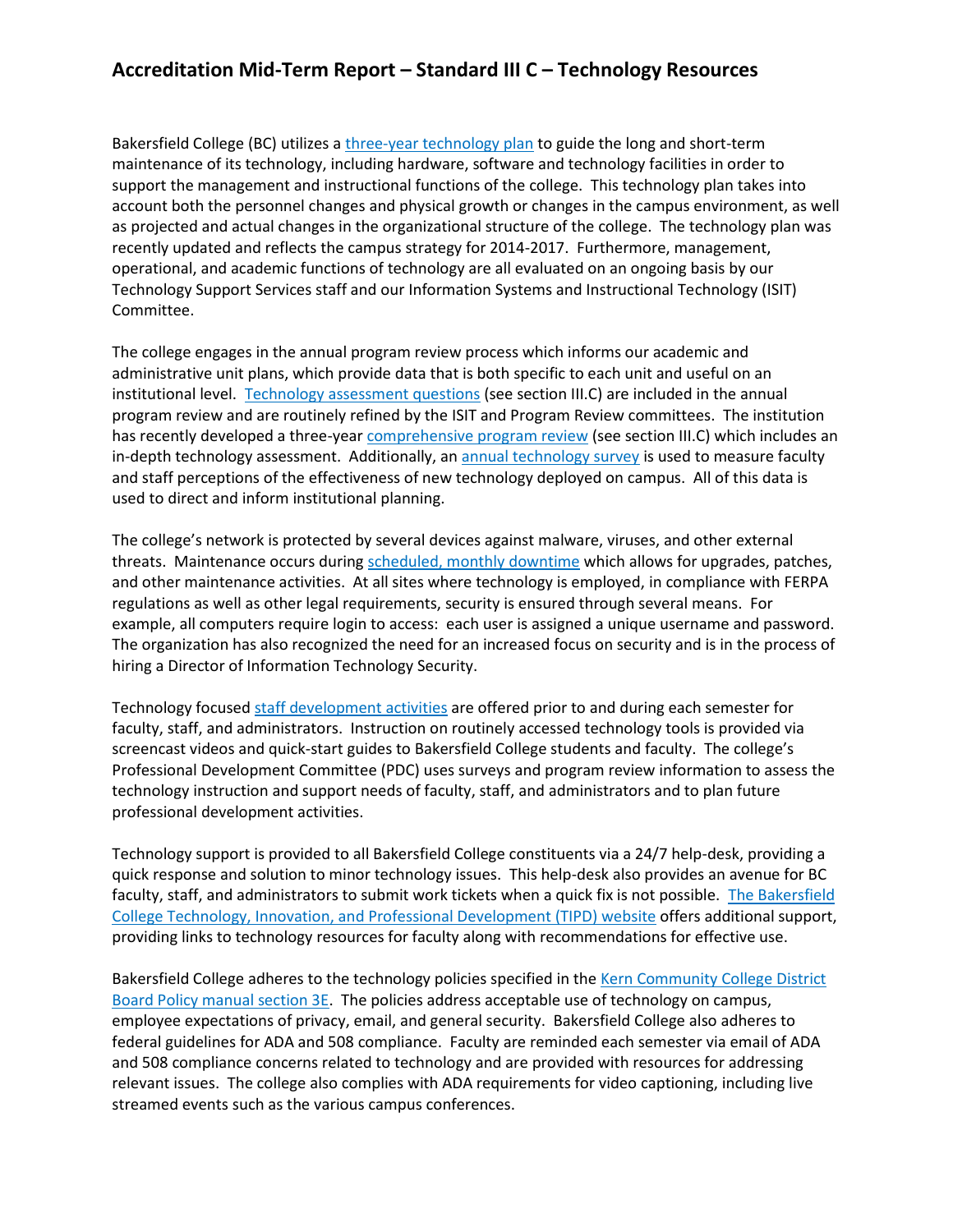## **Accreditation Mid-Term Report – Standard III C – Technology Resources**

Bakersfield College (BC) utilizes a three-year technology plan to guide the long and short-term maintenance of its technology, including hardware, software and technology facilities in order to support the management and instructional functions of the college. This technology plan takes into account both the personnel changes and physical growth or changes in the campus environment, as well as projected and actual changes in the organizational structure of the college. The technology plan was recently updated and reflects the campus strategy for 2014-2017. Furthermore, management, operational, and academic functions of technology are all evaluated on an ongoing basis by our Technology Support Services staff and our Information Systems and Instructional Technology (ISIT) Committee.

The college engages in the annual program review process which informs our academic and administrative unit plans, which provide data that is both specific to each unit and useful on an institutional level. Technology assessment questions (see section III.C) are included in the annual program review and are routinely refined by the ISIT and Program Review committees. The institution has recently developed a three-year comprehensive program review (see section III.C) which includes an in-depth technology assessment. Additionally, an annual technology survey is used to measure faculty and staff perceptions of the effectiveness of new technology deployed on campus. All of this data is used to direct and inform institutional planning.

The college's network is protected by several devices against malware, viruses, and other external threats. Maintenance occurs during scheduled, monthly downtime which allows for upgrades, patches, and other maintenance activities. At all sites where technology is employed, in compliance with FERPA regulations as well as other legal requirements, security is ensured through several means. For example, all computers require login to access: each user is assigned a unique username and password. The organization has also recognized the need for an increased focus on security and is in the process of hiring a Director of Information Technology Security.

Technology focused staff development activities are offered prior to and during each semester for faculty, staff, and administrators. Instruction on routinely accessed technology tools is provided via screencast videos and quick-start guides to Bakersfield College students and faculty. The college's Professional Development Committee (PDC) uses surveys and program review information to assess the technology instruction and support needs of faculty, staff, and administrators and to plan future professional development activities.

Technology support is provided to all Bakersfield College constituents via a 24/7 help-desk, providing a quick response and solution to minor technology issues. This help-desk also provides an avenue for BC faculty, staff, and administrators to submit work tickets when a quick fix is not possible. The Bakersfield College Technology, Innovation, and Professional Development (TIPD) website offers additional support, providing links to technology resources for faculty along with recommendations for effective use.

Bakersfield College adheres to the technology policies specified in the Kern Community College District Board Policy manual section 3E. The policies address acceptable use of technology on campus, employee expectations of privacy, email, and general security. Bakersfield College also adheres to federal guidelines for ADA and 508 compliance. Faculty are reminded each semester via email of ADA and 508 compliance concerns related to technology and are provided with resources for addressing relevant issues. The college also complies with ADA requirements for video captioning, including live streamed events such as the various campus conferences.